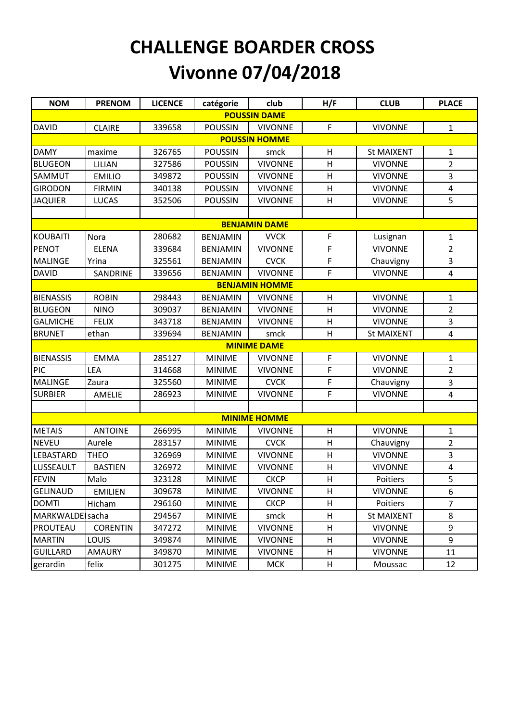## **CHALLENGE BOARDER CROSS Vivonne 07/04/2018**

| <b>NOM</b>             | <b>PRENOM</b>   | <b>LICENCE</b> | catégorie       | club                  | H/F | <b>CLUB</b>       | <b>PLACE</b>            |  |  |  |  |  |
|------------------------|-----------------|----------------|-----------------|-----------------------|-----|-------------------|-------------------------|--|--|--|--|--|
| <b>POUSSIN DAME</b>    |                 |                |                 |                       |     |                   |                         |  |  |  |  |  |
| <b>DAVID</b>           | <b>CLAIRE</b>   | 339658         | <b>POUSSIN</b>  | <b>VIVONNE</b>        | F   | <b>VIVONNE</b>    | $\mathbf{1}$            |  |  |  |  |  |
| <b>POUSSIN HOMME</b>   |                 |                |                 |                       |     |                   |                         |  |  |  |  |  |
| <b>DAMY</b>            | maxime          | 326765         | <b>POUSSIN</b>  | smck                  | H   | <b>St MAIXENT</b> | $\mathbf{1}$            |  |  |  |  |  |
| <b>BLUGEON</b>         | LILIAN          | 327586         | <b>POUSSIN</b>  | <b>VIVONNE</b>        | н   | <b>VIVONNE</b>    | $\overline{2}$          |  |  |  |  |  |
| SAMMUT                 | <b>EMILIO</b>   | 349872         | <b>POUSSIN</b>  | <b>VIVONNE</b>        | H   | <b>VIVONNE</b>    | 3                       |  |  |  |  |  |
| <b>GIRODON</b>         | <b>FIRMIN</b>   | 340138         | <b>POUSSIN</b>  | <b>VIVONNE</b>        | H   | <b>VIVONNE</b>    | $\overline{\mathbf{4}}$ |  |  |  |  |  |
| <b>JAQUIER</b>         | <b>LUCAS</b>    | 352506         | <b>POUSSIN</b>  | <b>VIVONNE</b>        | H   | <b>VIVONNE</b>    | 5                       |  |  |  |  |  |
|                        |                 |                |                 |                       |     |                   |                         |  |  |  |  |  |
| <b>BENJAMIN DAME</b>   |                 |                |                 |                       |     |                   |                         |  |  |  |  |  |
| <b>KOUBAITI</b>        | Nora            | 280682         | <b>BENJAMIN</b> | <b>VVCK</b>           | F   | Lusignan          | $\mathbf{1}$            |  |  |  |  |  |
| <b>PENOT</b>           | <b>ELENA</b>    | 339684         | <b>BENJAMIN</b> | <b>VIVONNE</b>        | F   | <b>VIVONNE</b>    | $\overline{2}$          |  |  |  |  |  |
| <b>MALINGE</b>         | Yrina           | 325561         | <b>BENJAMIN</b> | <b>CVCK</b>           | F   | Chauvigny         | $\overline{3}$          |  |  |  |  |  |
| <b>DAVID</b>           | SANDRINE        | 339656         | <b>BENJAMIN</b> | <b>VIVONNE</b>        | F   | <b>VIVONNE</b>    | $\overline{4}$          |  |  |  |  |  |
|                        |                 |                |                 | <b>BENJAMIN HOMME</b> |     |                   |                         |  |  |  |  |  |
| <b>BIENASSIS</b>       | <b>ROBIN</b>    | 298443         | <b>BENJAMIN</b> | <b>VIVONNE</b>        | н   | <b>VIVONNE</b>    | 1                       |  |  |  |  |  |
| <b>BLUGEON</b>         | <b>NINO</b>     | 309037         | <b>BENJAMIN</b> | <b>VIVONNE</b>        | H   | <b>VIVONNE</b>    | $\overline{2}$          |  |  |  |  |  |
| <b>GALMICHE</b>        | <b>FELIX</b>    | 343718         | <b>BENJAMIN</b> | <b>VIVONNE</b>        | H   | <b>VIVONNE</b>    | 3                       |  |  |  |  |  |
| <b>BRUNET</b>          | ethan           | 339694         | <b>BENJAMIN</b> | smck                  | H   | <b>St MAIXENT</b> | 4                       |  |  |  |  |  |
|                        |                 |                |                 | <b>MINIME DAME</b>    |     |                   |                         |  |  |  |  |  |
| <b>BIENASSIS</b>       | <b>EMMA</b>     | 285127         | <b>MINIME</b>   | <b>VIVONNE</b>        | F   | <b>VIVONNE</b>    | 1                       |  |  |  |  |  |
| <b>PIC</b>             | LEA             | 314668         | <b>MINIME</b>   | <b>VIVONNE</b>        | F   | <b>VIVONNE</b>    | $\overline{2}$          |  |  |  |  |  |
| <b>MALINGE</b>         | Zaura           | 325560         | <b>MINIME</b>   | <b>CVCK</b>           | F   | Chauvigny         | 3                       |  |  |  |  |  |
| <b>SURBIER</b>         | AMELIE          | 286923         | <b>MINIME</b>   | <b>VIVONNE</b>        | F   | <b>VIVONNE</b>    | $\overline{4}$          |  |  |  |  |  |
|                        |                 |                |                 |                       |     |                   |                         |  |  |  |  |  |
|                        |                 |                |                 | <b>MINIME HOMME</b>   |     |                   |                         |  |  |  |  |  |
| <b>METAIS</b>          | <b>ANTOINE</b>  | 266995         | <b>MINIME</b>   | <b>VIVONNE</b>        | H   | <b>VIVONNE</b>    | 1                       |  |  |  |  |  |
| <b>NEVEU</b>           | Aurele          | 283157         | <b>MINIME</b>   | <b>CVCK</b>           | H   | Chauvigny         | $\overline{2}$          |  |  |  |  |  |
| <b>LEBASTARD</b>       | <b>THEO</b>     | 326969         | <b>MINIME</b>   | <b>VIVONNE</b>        | H   | <b>VIVONNE</b>    | 3                       |  |  |  |  |  |
| LUSSEAULT              | <b>BASTIEN</b>  | 326972         | <b>MINIME</b>   | <b>VIVONNE</b>        | H   | <b>VIVONNE</b>    | $\overline{\mathbf{4}}$ |  |  |  |  |  |
| <b>FEVIN</b>           | Malo            | 323128         | <b>MINIME</b>   | <b>CKCP</b>           | H   | Poitiers          | 5                       |  |  |  |  |  |
| <b>GELINAUD</b>        | <b>EMILIEN</b>  | 309678         | <b>MINIME</b>   | <b>VIVONNE</b>        | H   | <b>VIVONNE</b>    | 6                       |  |  |  |  |  |
| <b>DOMTI</b>           | Hicham          | 296160         | <b>MINIME</b>   | <b>CKCP</b>           | H   | Poitiers          | 7                       |  |  |  |  |  |
| <b>MARKWALDE</b> sacha |                 | 294567         | <b>MINIME</b>   | smck                  | H   | St MAIXENT        | 8                       |  |  |  |  |  |
| PROUTEAU               | <b>CORENTIN</b> | 347272         | <b>MINIME</b>   | <b>VIVONNE</b>        | H   | <b>VIVONNE</b>    | 9                       |  |  |  |  |  |
| <b>MARTIN</b>          | <b>LOUIS</b>    | 349874         | <b>MINIME</b>   | <b>VIVONNE</b>        | H   | <b>VIVONNE</b>    | 9                       |  |  |  |  |  |
| <b>GUILLARD</b>        | <b>AMAURY</b>   | 349870         | <b>MINIME</b>   | <b>VIVONNE</b>        | Н   | <b>VIVONNE</b>    | 11                      |  |  |  |  |  |
| gerardin               | felix           | 301275         | <b>MINIME</b>   | <b>MCK</b>            | H   | Moussac           | 12                      |  |  |  |  |  |